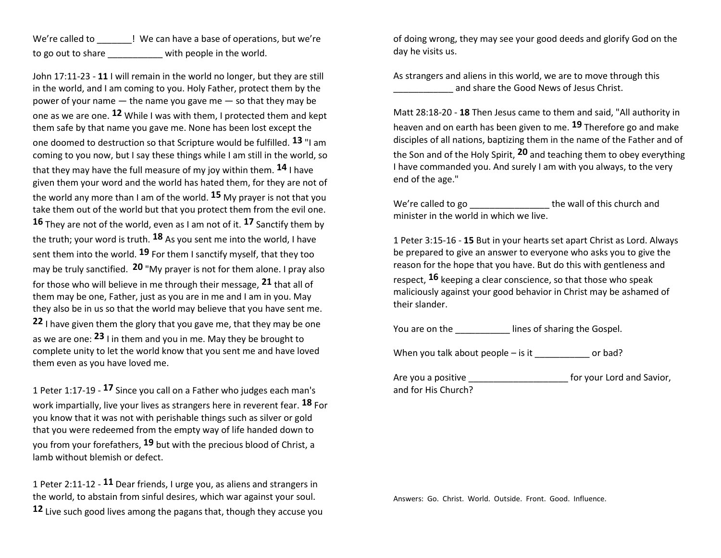| We're called to    | ! We can have a base of operations, but we're |
|--------------------|-----------------------------------------------|
| to go out to share | with people in the world.                     |

John 17:11-23 - **11** I will remain in the world no longer, but they are still in the world, and I am coming to you. Holy Father, protect them by the power of your name  $-$  the name you gave me  $-$  so that they may be one as we are one. **12** While I was with them, I protected them and kept them safe by that name you gave me. None has been lost except the one doomed to destruction so that Scripture would be fulfilled. **13** "I am coming to you now, but I say these things while I am still in the world, so that they may have the full measure of my joy within them. **14** I have given them your word and the world has hated them, for they are not of the world any more than I am of the world. **15** My prayer is not that you take them out of the world but that you protect them from the evil one. **16** They are not of the world, even as I am not of it. **17** Sanctify them by the truth; your word is truth. **18** As you sent me into the world, I have sent them into the world. **19** For them I sanctify myself, that they too may be truly sanctified. **20** "My prayer is not for them alone. I pray also for those who will believe in me through their message, **21** that all of them may be one, Father, just as you are in me and I am in you. May they also be in us so that the world may believe that you have sent me. **22** I have given them the glory that you gave me, that they may be one as we are one: **23** I in them and you in me. May they be brought to complete unity to let the world know that you sent me and have loved them even as you have loved me.

1 Peter 1:17-19 - **17** Since you call on a Father who judges each man's work impartially, live your lives as strangers here in reverent fear. **18** For you know that it was not with perishable things such as silver or gold that you were redeemed from the empty way of life handed down to you from your forefathers, **19** but with the precious blood of Christ, a lamb without blemish or defect.

1 Peter 2:11-12 - **11** Dear friends, I urge you, as aliens and strangers in the world, to abstain from sinful desires, which war against your soul. **12** Live such good lives among the pagans that, though they accuse you of doing wrong, they may see your good deeds and glorify God on the day he visits us.

As strangers and aliens in this world, we are to move through this and share the Good News of Jesus Christ.

Matt 28:18-20 - **18** Then Jesus came to them and said, "All authority in heaven and on earth has been given to me. **19** Therefore go and make disciples of all nations, baptizing them in the name of the Father and of the Son and of the Holy Spirit, **20** and teaching them to obey everything I have commanded you. And surely I am with you always, to the very end of the age."

We're called to go \_\_\_\_\_\_\_\_\_\_\_\_\_\_\_\_\_\_\_\_\_the wall of this church and minister in the world in which we live.

1 Peter 3:15-16 - **15** But in your hearts set apart Christ as Lord. Always be prepared to give an answer to everyone who asks you to give the reason for the hope that you have. But do this with gentleness and respect, **16** keeping a clear conscience, so that those who speak maliciously against your good behavior in Christ may be ashamed of their slander.

You are on the \_\_\_\_\_\_\_\_\_\_\_\_\_ lines of sharing the Gospel.

When you talk about people – is it \_\_\_\_\_\_\_\_\_\_ or bad?

Are you a positive extending the state of the form your Lord and Savior, and for His Church?

Answers: Go. Christ. World. Outside. Front. Good. Influence.